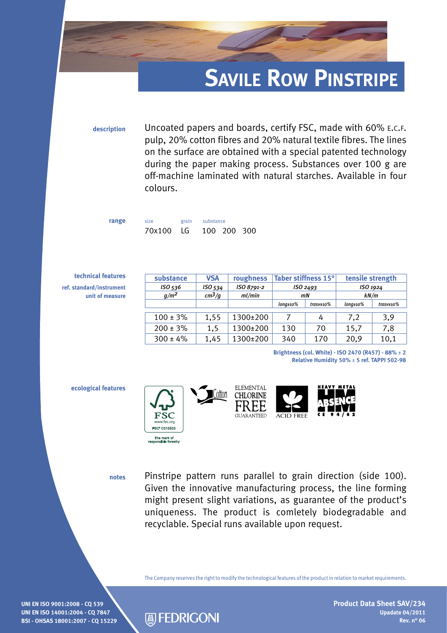## **Savile Row Pinstripe**

**description** Uncoated papers and boards, certify FSC, made with 60% e.c.f. pulp, 20% cotton fibres and 20% natural textile fibres. The lines on the surface are obtained with a special patented technology during the paper making process. Substances over 100 g are off-machine laminated with natural starches. Available in four colours.

| size      | grain substance |             |  |
|-----------|-----------------|-------------|--|
| 70x100 LG |                 | 100 200 300 |  |

| technical features       | substance     | <b>VSA</b>       | roughness  | Taber stiffness 15°<br>ISO <sub>2493</sub><br>mN |                     | tensile strength<br>ISO 1924<br>kN/m |                            |
|--------------------------|---------------|------------------|------------|--------------------------------------------------|---------------------|--------------------------------------|----------------------------|
| ref. standard/instrument | ISO 536       | ISO 534          | ISO 8791-2 |                                                  |                     |                                      |                            |
| unit of measure          | $g/m^2$       | $\frac{cm^3}{g}$ | ml/min     |                                                  |                     |                                      |                            |
|                          |               |                  |            | $long \scriptstyle \pm 10 \%$                    | $\text{trasv}$ ±10% | long±10%                             | $\frac{trasv \pm 10\%}{2}$ |
|                          | $100 \pm 3\%$ | 1.55             | 1300±200   |                                                  | 4                   | 7,2                                  | 3,9                        |
|                          | $200 \pm 3\%$ | 1.5              | 1300±200   | 130                                              | 70                  | 15,7                                 | 7,8                        |
|                          | $300 \pm 4\%$ | 1,45             | 1300±200   | 340                                              | 170                 | 20,9                                 | 10,1                       |

**Brightness (col. White) - ISO 2470 (R457) - 88%** ± **2 Relative Humidity 50%** ± **5 ref. TAPPI 502-98**

## **ecological features**

**range** 







**notes**

Pinstripe pattern runs parallel to grain direction (side 100). Given the innovative manufacturing process, the line forming might present slight variations, as guarantee of the product's uniqueness. The product is comletely biodegradable and recyclable. Special runs available upon request.

The Company reserves the right to modify the technological features of the product in relation to market requirements.

**UNI EN ISO 9001:2008 - CQ 539 UNI EN ISO 14001:2004 - CQ 7847 BSI - OHSAS 18001:2007 - CQ 15229**



**Product Data Sheet SAV/234 Upadate 04/2011 Rev. n° 06**